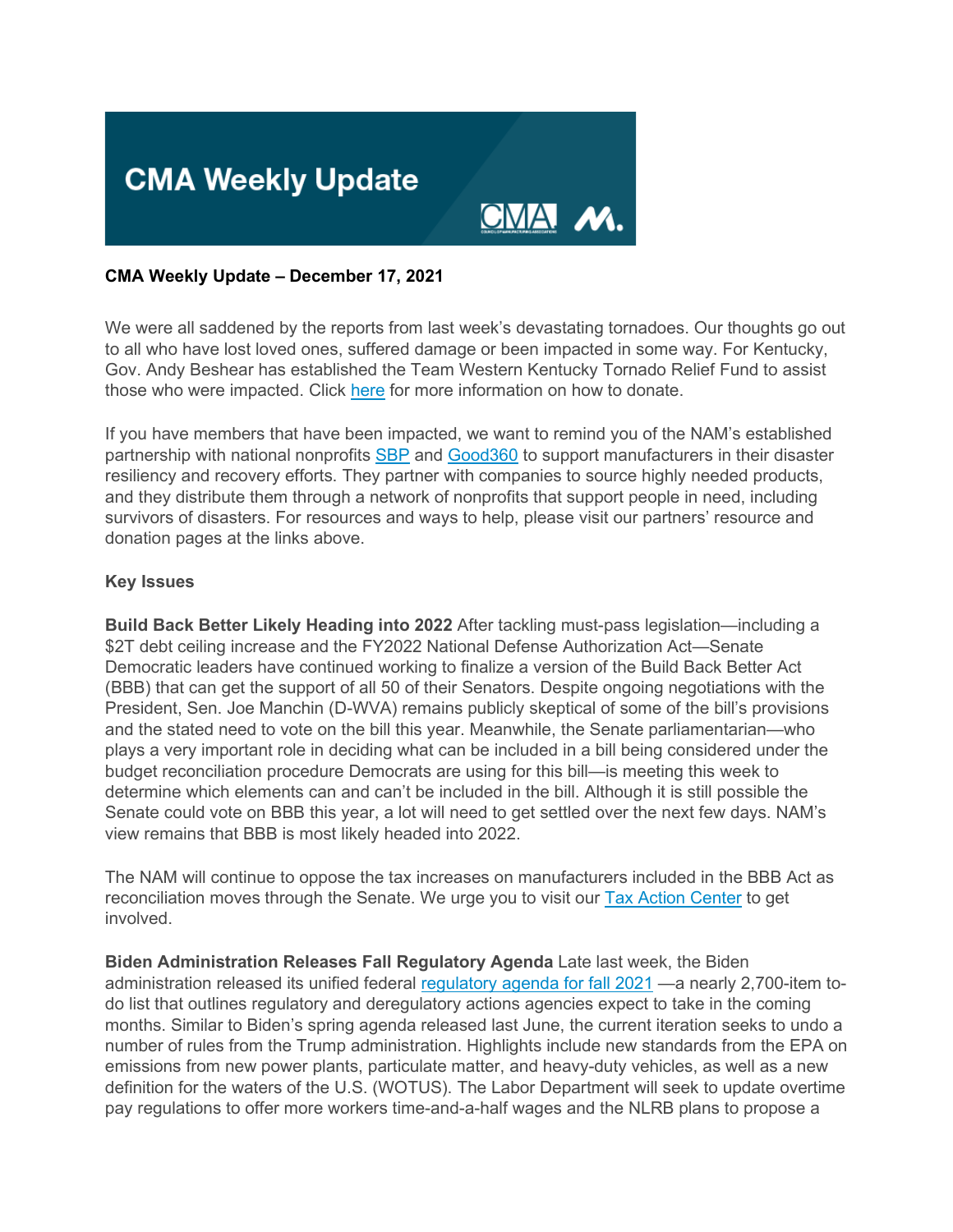

### **CMA Weekly Update – December 17, 2021**

We were all saddened by the reports from last week's devastating tornadoes. Our thoughts go out to all who have lost loved ones, suffered damage or been impacted in some way. For Kentucky, Gov. Andy Beshear has established the Team Western Kentucky Tornado Relief Fund to assist those who were impacted. Click [here](https://click.email.nam.org/?qs=34979db3a4b3a13b8fb67d3377ad5a9d6299f47e3ab9c8d335222e5b5a893043089ab6bae2b622a3497ac7afb049ee1fe7245d1a8d24348a) for more information on how to donate.

If you have members that have been impacted, we want to remind you of the NAM's established partnership with national nonprofits [SBP](https://click.email.nam.org/?qs=34979db3a4b3a13b446e292b82d6ae6d640750e770027729e9e1034c702d92cba472f7d107d4dbcb7792589a5a4c50cb3e0846153de1be75) and [Good360](https://click.email.nam.org/?qs=34979db3a4b3a13b8017fd54198f76760c023a12f7f4e31093c9b22695f10888883469b282f66b78ceafc5264ffe5afa83e075240d6357ed) to support manufacturers in their disaster resiliency and recovery efforts. They partner with companies to source highly needed products, and they distribute them through a network of nonprofits that support people in need, including survivors of disasters. For resources and ways to help, please visit our partners' resource and donation pages at the links above.

### **Key Issues**

**Build Back Better Likely Heading into 2022** After tackling must-pass legislation—including a \$2T debt ceiling increase and the FY2022 National Defense Authorization Act—Senate Democratic leaders have continued working to finalize a version of the Build Back Better Act (BBB) that can get the support of all 50 of their Senators. Despite ongoing negotiations with the President, Sen. Joe Manchin (D-WVA) remains publicly skeptical of some of the bill's provisions and the stated need to vote on the bill this year. Meanwhile, the Senate parliamentarian—who plays a very important role in deciding what can be included in a bill being considered under the budget reconciliation procedure Democrats are using for this bill—is meeting this week to determine which elements can and can't be included in the bill. Although it is still possible the Senate could vote on BBB this year, a lot will need to get settled over the next few days. NAM's view remains that BBB is most likely headed into 2022.

The NAM will continue to oppose the tax increases on manufacturers included in the BBB Act as reconciliation moves through the Senate. We urge you to visit our **[Tax Action Center](https://click.email.nam.org/?qs=34979db3a4b3a13b1b363385dbd585044358a9657c98a9ab225ef443af76e3aef3e8a51bf5da68ebcaee558aeaab1194b9100d285132e0d0)** to get involved.

**Biden Administration Releases Fall Regulatory Agenda** Late last week, the Biden administration released its unified federal [regulatory agenda for fall 2021](https://click.email.nam.org/?qs=34979db3a4b3a13bdf3c0956ba539cdbaa152fb57e8fe4da3cb7a95b5016951e390dd4036c95bfa2ff31f0a533e0674b174bf2d1d46974e2) —a nearly 2,700-item todo list that outlines regulatory and deregulatory actions agencies expect to take in the coming months. Similar to Biden's spring agenda released last June, the current iteration seeks to undo a number of rules from the Trump administration. Highlights include new standards from the EPA on emissions from new power plants, particulate matter, and heavy-duty vehicles, as well as a new definition for the waters of the U.S. (WOTUS). The Labor Department will seek to update overtime pay regulations to offer more workers time-and-a-half wages and the NLRB plans to propose a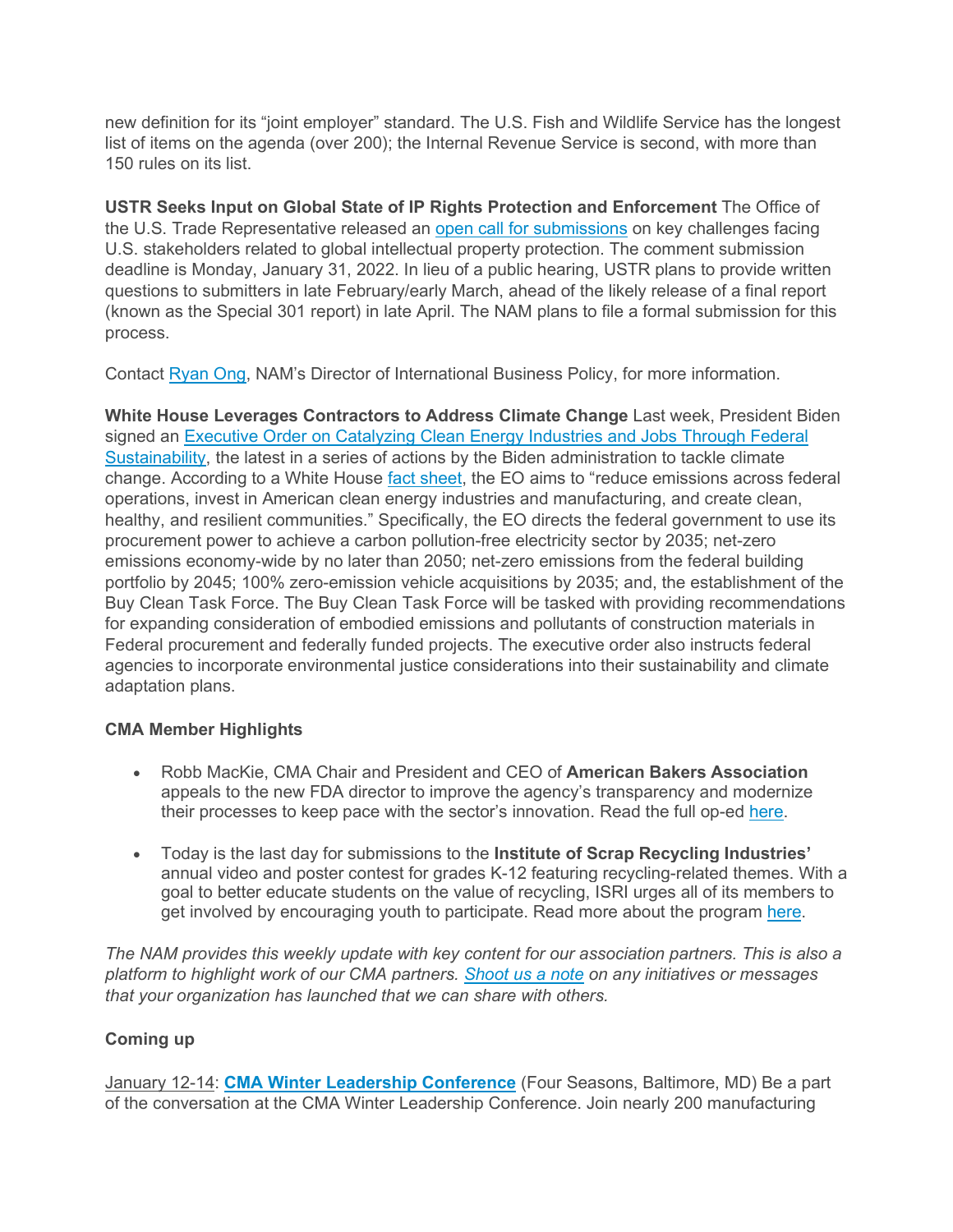new definition for its "joint employer" standard. The U.S. Fish and Wildlife Service has the longest list of items on the agenda (over 200); the Internal Revenue Service is second, with more than 150 rules on its list.

**USTR Seeks Input on Global State of IP Rights Protection and Enforcement** The Office of the U.S. Trade Representative released an [open call for submissions](https://click.email.nam.org/?qs=34979db3a4b3a13bb386f1fe78565b2253c31c486b63c5071d794e772c6d83b9760f45d7d71d0de3b8cf2868a83df0cb04a52faadbdc59b5) on key challenges facing U.S. stakeholders related to global intellectual property protection. The comment submission deadline is Monday, January 31, 2022. In lieu of a public hearing, USTR plans to provide written questions to submitters in late February/early March, ahead of the likely release of a final report (known as the Special 301 report) in late April. The NAM plans to file a formal submission for this process.

Contact [Ryan Ong,](mailto:rong@nam.org?subject=) NAM's Director of International Business Policy, for more information.

**White House Leverages Contractors to Address Climate Change** Last week, President Biden signed an Executive Order on Catalyzing Clean Energy Industries and Jobs Through Federal [Sustainability,](https://click.email.nam.org/?qs=34979db3a4b3a13b4a6ec32390ebfe7a74084956b3d07aa8e8a2cf77f84ff25762d6ef41b022aef0588bc1228a444c753681fe333430ee63) the latest in a series of actions by the Biden administration to tackle climate change. According to a White House [fact sheet,](https://click.email.nam.org/?qs=34979db3a4b3a13bb117e6b972ca7b83d92f8c55c4b2c902ef1fdc46c32e42a13246e5aa4f4c2b7e09b17b33a0fbb5308f88408d0b2bf6c4) the EO aims to "reduce emissions across federal operations, invest in American clean energy industries and manufacturing, and create clean, healthy, and resilient communities." Specifically, the EO directs the federal government to use its procurement power to achieve a carbon pollution-free electricity sector by 2035; net-zero emissions economy-wide by no later than 2050; net-zero emissions from the federal building portfolio by 2045; 100% zero-emission vehicle acquisitions by 2035; and, the establishment of the Buy Clean Task Force. The Buy Clean Task Force will be tasked with providing recommendations for expanding consideration of embodied emissions and pollutants of construction materials in Federal procurement and federally funded projects. The executive order also instructs federal agencies to incorporate environmental justice considerations into their sustainability and climate adaptation plans.

## **CMA Member Highlights**

- Robb MacKie, CMA Chair and President and CEO of **American Bakers Association** appeals to the new FDA director to improve the agency's transparency and modernize their processes to keep pace with the sector's innovation. Read the full op-ed [here.](https://click.email.nam.org/?qs=34979db3a4b3a13b32f03193560d57b92cab04547c7e6a73651daf54bccb4ad3a3d639fe229518194717a7cbfb8d6c1953abf0ad5a9ff071)
- Today is the last day for submissions to the **Institute of Scrap Recycling Industries'**  annual video and poster contest for grades K-12 featuring recycling-related themes. With a goal to better educate students on the value of recycling, ISRI urges all of its members to get involved by encouraging youth to participate. Read more about the program [here.](https://click.email.nam.org/?qs=34979db3a4b3a13b30ad5cbd121a37387e1a20f4ea60aed0bd8a99af7d3e0d0a84cab93b01b5d3d24b0eaedb9af7d2886f84aaffc6dd7c55)

*The NAM provides this weekly update with key content for our association partners. This is also a platform to highlight work of our CMA partners. [Shoot us a note](mailto:sthompson@nam.org?subject=) on any initiatives or messages that your organization has launched that we can share with others.*

## **Coming up**

January 12-14: **[CMA Winter Leadership Conference](https://click.email.nam.org/?qs=34979db3a4b3a13b785de51526da3e3c9ab665a1506137463331a56508cb210d27c7dab93fe33c57ede6814a90fed735c20c1ce9ae9e8512)** (Four Seasons, Baltimore, MD) Be a part of the conversation at the CMA Winter Leadership Conference. Join nearly 200 manufacturing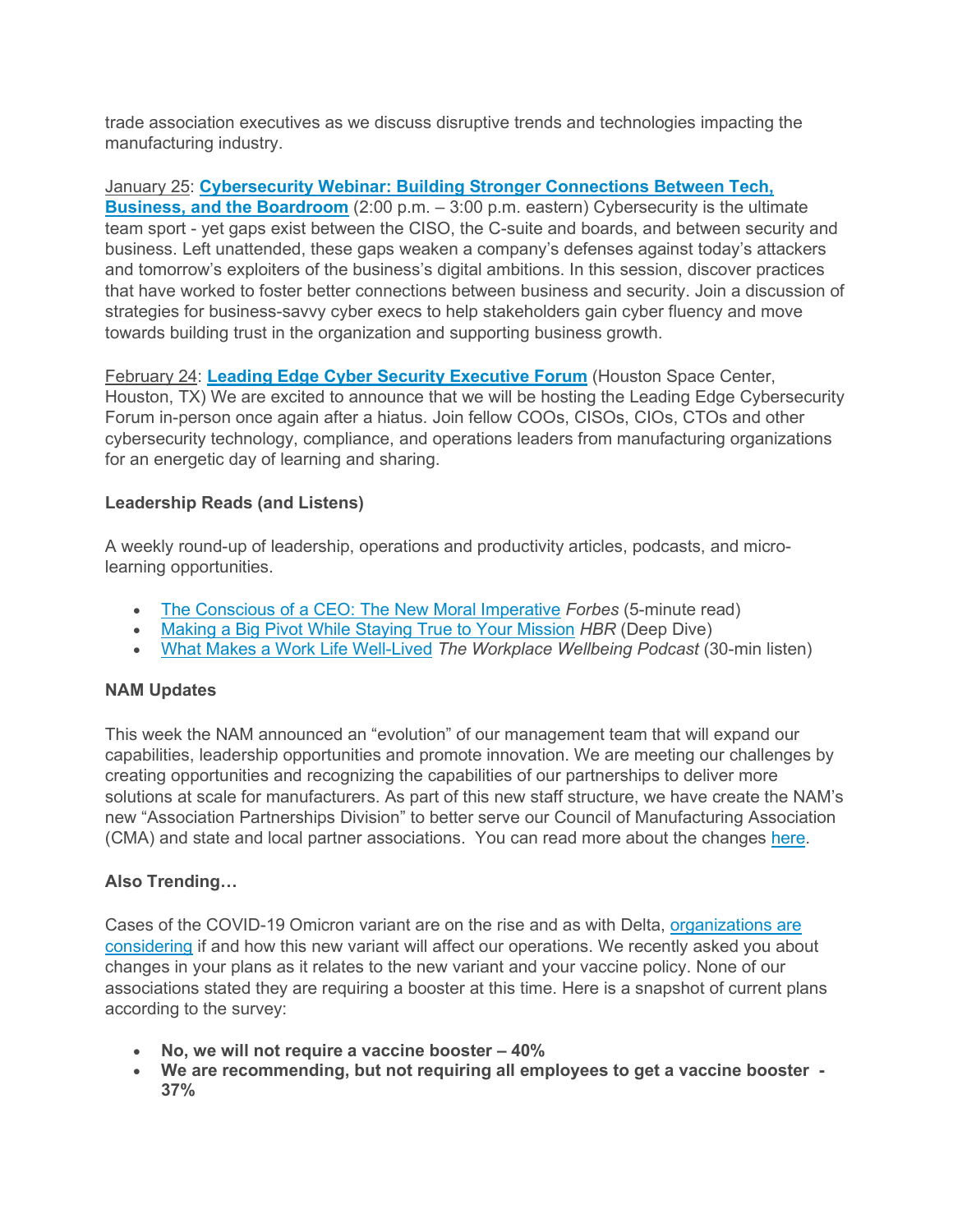trade association executives as we discuss disruptive trends and technologies impacting the manufacturing industry.

January 25: **[Cybersecurity Webinar: Building Stronger Connections Between Tech,](https://click.email.nam.org/?qs=34979db3a4b3a13bf3a7e4cf336dbe9aac6c440572aad604728359641b63da3e17731f8596b67024ed81e8cae6db99664464fd46a6e94ef8)  [Business, and the Boardroom](https://click.email.nam.org/?qs=34979db3a4b3a13bf3a7e4cf336dbe9aac6c440572aad604728359641b63da3e17731f8596b67024ed81e8cae6db99664464fd46a6e94ef8)** (2:00 p.m. – 3:00 p.m. eastern) Cybersecurity is the ultimate team sport - yet gaps exist between the CISO, the C-suite and boards, and between security and business. Left unattended, these gaps weaken a company's defenses against today's attackers and tomorrow's exploiters of the business's digital ambitions. In this session, discover practices that have worked to foster better connections between business and security. Join a discussion of strategies for business-savvy cyber execs to help stakeholders gain cyber fluency and move towards building trust in the organization and supporting business growth.

February 24: **[Leading Edge Cyber Security Executive Forum](https://click.email.nam.org/?qs=34979db3a4b3a13b113afae9d70f6c102fa6b6847f1c100d73fc3bf85879f1a5904a892d4e80f5c293922c14f4a4a4408d8a9b1f1a30daaf)** (Houston Space Center, Houston, TX) We are excited to announce that we will be hosting the Leading Edge Cybersecurity Forum in-person once again after a hiatus. Join fellow COOs, CISOs, CIOs, CTOs and other cybersecurity technology, compliance, and operations leaders from manufacturing organizations for an energetic day of learning and sharing.

### **Leadership Reads (and Listens)**

A weekly round-up of leadership, operations and productivity articles, podcasts, and microlearning opportunities.

- [The Conscious of a CEO: The New Moral Imperative](https://click.email.nam.org/?qs=34979db3a4b3a13b1a60f94ef3a367d5ed3dee485b77455c855120b0f29b6b7887e344fc2d793ea5ed0cd82546ce4035b33143fffbe31064) *Forbes* (5-minute read)
- [Making a Big Pivot While Staying True to Your Mission](https://click.email.nam.org/?qs=34979db3a4b3a13bafb4e20ed7b91e438fd38bb5ba1de7dcce66ddd7d070ff713c80834c7fa25ea824e7556f2123181714b13de2115ce669) *HBR* (Deep Dive)
- [What Makes a Work Life Well-Lived](https://click.email.nam.org/?qs=34979db3a4b3a13b8567978654d25d0d29338805efcb3d4d13e68c72926bfb6bd0090259cba5f311781f90533fef5e686e70051a220bae36) *The Workplace Wellbeing Podcast* (30-min listen)

### **NAM Updates**

This week the NAM announced an "evolution" of our management team that will expand our capabilities, leadership opportunities and promote innovation. We are meeting our challenges by creating opportunities and recognizing the capabilities of our partnerships to deliver more solutions at scale for manufacturers. As part of this new staff structure, we have create the NAM's new "Association Partnerships Division" to better serve our Council of Manufacturing Association (CMA) and state and local partner associations. You can read more about the changes [here.](https://click.email.nam.org/?qs=34979db3a4b3a13b7c0eb416e9b6ebdcc7e861052d7f627dad053300fec77b4f3aa0d358dabd27fa7a6bad91587b5ad63ddfb265f10f10b0)

## **Also Trending…**

Cases of the COVID-19 Omicron variant are on the rise and as with Delta, [organizations are](https://click.email.nam.org/?qs=34979db3a4b3a13be6ef721dded0d11248739ea612344cb35147ed485d80b12d4e1b8354afcfb9161bb19bbe7ca85206142eb4caf9c4072b)  [considering](https://click.email.nam.org/?qs=34979db3a4b3a13be6ef721dded0d11248739ea612344cb35147ed485d80b12d4e1b8354afcfb9161bb19bbe7ca85206142eb4caf9c4072b) if and how this new variant will affect our operations. We recently asked you about changes in your plans as it relates to the new variant and your vaccine policy. None of our associations stated they are requiring a booster at this time. Here is a snapshot of current plans according to the survey:

- **No, we will not require a vaccine booster – 40%**
- **We are recommending, but not requiring all employees to get a vaccine booster - 37%**